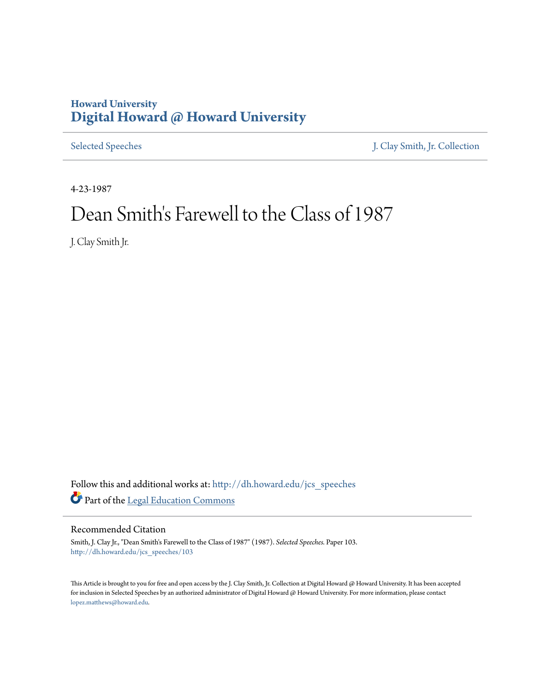## **Howard University [Digital Howard @ Howard University](http://dh.howard.edu?utm_source=dh.howard.edu%2Fjcs_speeches%2F103&utm_medium=PDF&utm_campaign=PDFCoverPages)**

[Selected Speeches](http://dh.howard.edu/jcs_speeches?utm_source=dh.howard.edu%2Fjcs_speeches%2F103&utm_medium=PDF&utm_campaign=PDFCoverPages) [J. Clay Smith, Jr. Collection](http://dh.howard.edu/jcsmith?utm_source=dh.howard.edu%2Fjcs_speeches%2F103&utm_medium=PDF&utm_campaign=PDFCoverPages)

4-23-1987

## Dean Smith's Farewell to the Class of 1987

J. Clay Smith Jr.

Follow this and additional works at: [http://dh.howard.edu/jcs\\_speeches](http://dh.howard.edu/jcs_speeches?utm_source=dh.howard.edu%2Fjcs_speeches%2F103&utm_medium=PDF&utm_campaign=PDFCoverPages) Part of the [Legal Education Commons](http://network.bepress.com/hgg/discipline/857?utm_source=dh.howard.edu%2Fjcs_speeches%2F103&utm_medium=PDF&utm_campaign=PDFCoverPages)

## Recommended Citation

Smith, J. Clay Jr., "Dean Smith's Farewell to the Class of 1987" (1987). *Selected Speeches.* Paper 103. [http://dh.howard.edu/jcs\\_speeches/103](http://dh.howard.edu/jcs_speeches/103?utm_source=dh.howard.edu%2Fjcs_speeches%2F103&utm_medium=PDF&utm_campaign=PDFCoverPages)

This Article is brought to you for free and open access by the J. Clay Smith, Jr. Collection at Digital Howard @ Howard University. It has been accepted for inclusion in Selected Speeches by an authorized administrator of Digital Howard @ Howard University. For more information, please contact [lopez.matthews@howard.edu.](mailto:lopez.matthews@howard.edu)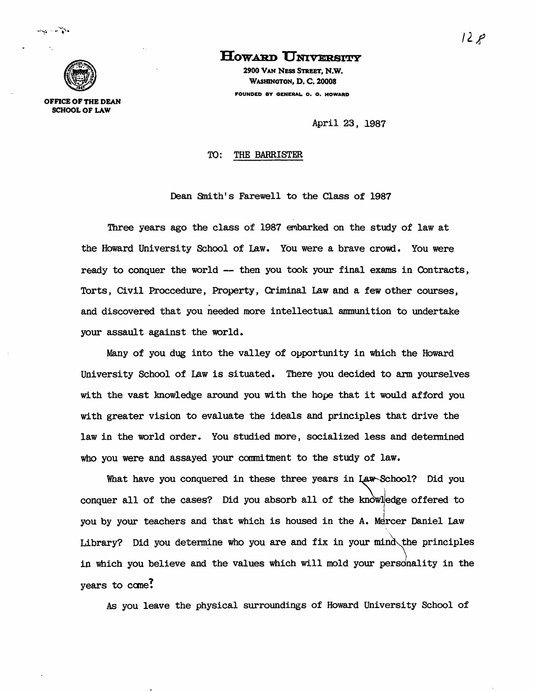

OFFICE OF THE DEAN SCHOOL OF LAW

**How.A:RD UNIVERSITY** 

2900 VAN NESS STREET, N.W. WASHINGTON, D. C. 20008 FOUNDED BY GENERAL o. O. HOWARD

April 23, 1987

## TO: THE BARRISTER

Dean Snith's Farewell to the Class of 1987

Three years ago the class of 1987 embarked on the study of law at the Howard University School of Law. You were a brave crowd. You were ready to conquer the world -- then you took your final exams in Contracts, Torts, Civil Proccedure, Property, Criminal Law and a few other courses, and discovered that you needed more intellectual ammunition to undertake your assault against the world.

Many of you dug into the valley of opportunity in which the Howard University School of Law is situated. There you decided to arm yourselves with the vast knowledge around you with the hope that it would afford you with greater vision to evaluate the ideals and principles that drive the law in the world order. You studied more, socialized less and detennined who you were and assayed your commitment to the study of law.

What have you conquered in these three years in Law-School? Did you conquer all of the cases? Did you absorb all of the knowledge offered to i you by your teachers and that which is housed in the A. Mercer Daniel Law Library? Did you determine who you are and fix in your mind the principles in which you believe and the values which will mold your personality in the years to cane?

As you leave the physical surroundings of Howard University School of